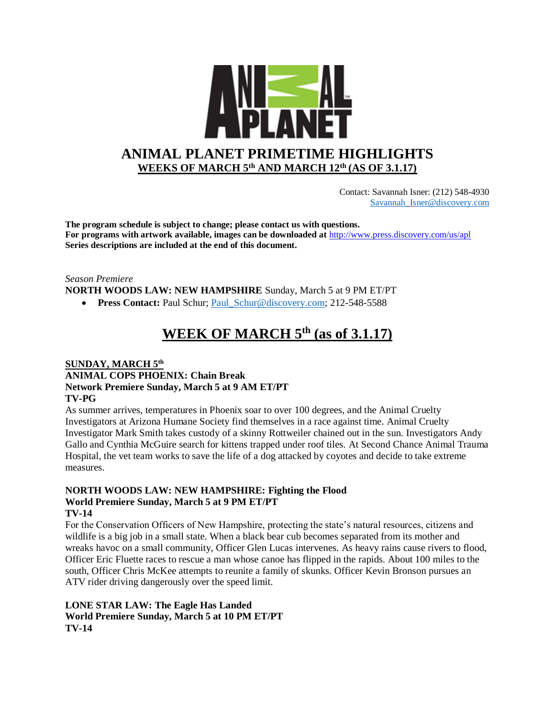

 Contact: Savannah Isner: (212) 548-4930 [Savannah\\_Isner@discovery.com](mailto:Savannah_Isner@discovery.com)

**The program schedule is subject to change; please contact us with questions. For programs with artwork available, images can be downloaded at** http://www.press.discovery.com/us/apl **Series descriptions are included at the end of this document.** 

### *Season Premiere* **NORTH WOODS LAW: NEW HAMPSHIRE** Sunday, March 5 at 9 PM ET/PT

• **Press Contact: Paul Schur; Paul Schur@discovery.com; 212-548-5588** 

## **WEEK OF MARCH 5th (as of 3.1.17)**

## **SUNDAY, MARCH 5th ANIMAL COPS PHOENIX: Chain Break Network Premiere Sunday, March 5 at 9 AM ET/PT TV-PG**

As summer arrives, temperatures in Phoenix soar to over 100 degrees, and the Animal Cruelty Investigators at Arizona Humane Society find themselves in a race against time. Animal Cruelty Investigator Mark Smith takes custody of a skinny Rottweiler chained out in the sun. Investigators Andy Gallo and Cynthia McGuire search for kittens trapped under roof tiles. At Second Chance Animal Trauma Hospital, the vet team works to save the life of a dog attacked by coyotes and decide to take extreme measures.

#### **NORTH WOODS LAW: NEW HAMPSHIRE: Fighting the Flood World Premiere Sunday, March 5 at 9 PM ET/PT TV-14**

For the Conservation Officers of New Hampshire, protecting the state's natural resources, citizens and wildlife is a big job in a small state. When a black bear cub becomes separated from its mother and wreaks havoc on a small community, Officer Glen Lucas intervenes. As heavy rains cause rivers to flood, Officer Eric Fluette races to rescue a man whose canoe has flipped in the rapids. About 100 miles to the south, Officer Chris McKee attempts to reunite a family of skunks. Officer Kevin Bronson pursues an ATV rider driving dangerously over the speed limit.

## **LONE STAR LAW: The Eagle Has Landed World Premiere Sunday, March 5 at 10 PM ET/PT TV-14**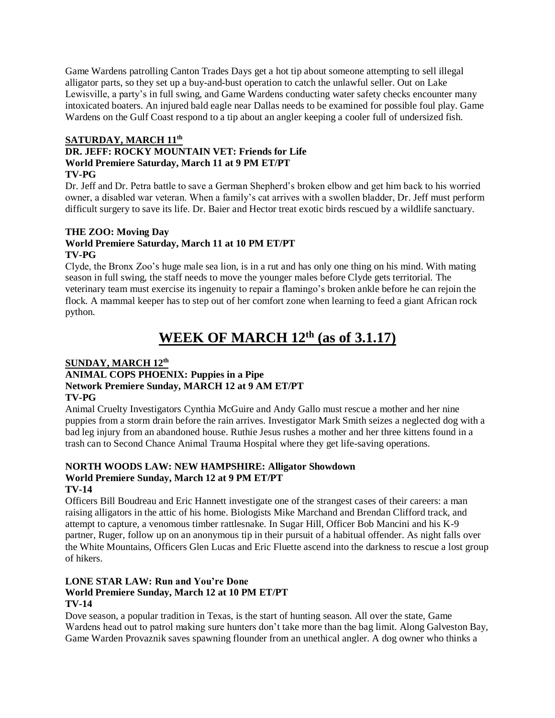Game Wardens patrolling Canton Trades Days get a hot tip about someone attempting to sell illegal alligator parts, so they set up a buy-and-bust operation to catch the unlawful seller. Out on Lake Lewisville, a party's in full swing, and Game Wardens conducting water safety checks encounter many intoxicated boaters. An injured bald eagle near Dallas needs to be examined for possible foul play. Game Wardens on the Gulf Coast respond to a tip about an angler keeping a cooler full of undersized fish.

## **SATURDAY, MARCH 11th**

#### **DR. JEFF: ROCKY MOUNTAIN VET: Friends for Life World Premiere Saturday, March 11 at 9 PM ET/PT TV-PG**

Dr. Jeff and Dr. Petra battle to save a German Shepherd's broken elbow and get him back to his worried owner, a disabled war veteran. When a family's cat arrives with a swollen bladder, Dr. Jeff must perform difficult surgery to save its life. Dr. Baier and Hector treat exotic birds rescued by a wildlife sanctuary.

### **THE ZOO: Moving Day World Premiere Saturday, March 11 at 10 PM ET/PT TV-PG**

Clyde, the Bronx Zoo's huge male sea lion, is in a rut and has only one thing on his mind. With mating season in full swing, the staff needs to move the younger males before Clyde gets territorial. The veterinary team must exercise its ingenuity to repair a flamingo's broken ankle before he can rejoin the flock. A mammal keeper has to step out of her comfort zone when learning to feed a giant African rock python.

# **WEEK OF MARCH 12th (as of 3.1.17)**

## **SUNDAY, MARCH 12th ANIMAL COPS PHOENIX: Puppies in a Pipe Network Premiere Sunday, MARCH 12 at 9 AM ET/PT TV-PG**

Animal Cruelty Investigators Cynthia McGuire and Andy Gallo must rescue a mother and her nine puppies from a storm drain before the rain arrives. Investigator Mark Smith seizes a neglected dog with a bad leg injury from an abandoned house. Ruthie Jesus rushes a mother and her three kittens found in a trash can to Second Chance Animal Trauma Hospital where they get life-saving operations.

### **NORTH WOODS LAW: NEW HAMPSHIRE: Alligator Showdown World Premiere Sunday, March 12 at 9 PM ET/PT TV-14**

Officers Bill Boudreau and Eric Hannett investigate one of the strangest cases of their careers: a man raising alligators in the attic of his home. Biologists Mike Marchand and Brendan Clifford track, and attempt to capture, a venomous timber rattlesnake. In Sugar Hill, Officer Bob Mancini and his K-9 partner, Ruger, follow up on an anonymous tip in their pursuit of a habitual offender. As night falls over the White Mountains, Officers Glen Lucas and Eric Fluette ascend into the darkness to rescue a lost group of hikers.

## **LONE STAR LAW: Run and You're Done World Premiere Sunday, March 12 at 10 PM ET/PT TV-14**

Dove season, a popular tradition in Texas, is the start of hunting season. All over the state, Game Wardens head out to patrol making sure hunters don't take more than the bag limit. Along Galveston Bay, Game Warden Provaznik saves spawning flounder from an unethical angler. A dog owner who thinks a